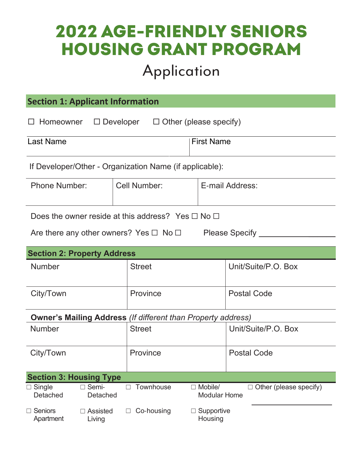# 2022 AGE-FRIENDLY SENIOR Senari Program Housing Grant Program

# **APPLICATION FORM**  Application

# **Section 1: Applicant Information**

| $\Box$ Homeowner | $\Box$ Developer | $\Box$ Other (please specify) |
|------------------|------------------|-------------------------------|
|------------------|------------------|-------------------------------|

| <b>Last Name</b> | 'First Name |
|------------------|-------------|
|                  |             |

If Developer/Other - Organization Name (if applicable):

| <b>Phone Number:</b> | Cell Number: | E-mail Address: |
|----------------------|--------------|-----------------|
|                      |              |                 |

| Does the owner reside at this address? Yes $\Box$ No $\Box$ |  |
|-------------------------------------------------------------|--|
|-------------------------------------------------------------|--|

| Are there any other owners? Yes $\Box$ No $\Box$ | <b>Please Specify</b> |
|--------------------------------------------------|-----------------------|
|--------------------------------------------------|-----------------------|

| <b>Please Specify</b> |
|-----------------------|
|-----------------------|

## **Section 2: Property Address**

| <b>Number</b>                                                       |                                | <b>Street</b>       |                     | Unit/Suite/P.O. Box    |
|---------------------------------------------------------------------|--------------------------------|---------------------|---------------------|------------------------|
|                                                                     |                                |                     |                     |                        |
|                                                                     |                                |                     |                     |                        |
| City/Town                                                           |                                | Province            |                     | <b>Postal Code</b>     |
|                                                                     |                                |                     |                     |                        |
| <b>Owner's Mailing Address (If different than Property address)</b> |                                |                     |                     |                        |
| <b>Number</b>                                                       |                                | <b>Street</b>       |                     | Unit/Suite/P.O. Box    |
|                                                                     |                                |                     |                     |                        |
| City/Town                                                           |                                | Province            |                     | <b>Postal Code</b>     |
|                                                                     |                                |                     |                     |                        |
|                                                                     | <b>Section 3: Housing Type</b> |                     |                     |                        |
|                                                                     |                                |                     |                     |                        |
| $\Box$ Single                                                       | $\Box$ Semi-                   | Townhouse<br>$\Box$ | Mobile/<br>П        | Other (please specify) |
| Detached                                                            | Detached                       |                     | <b>Modular Home</b> |                        |
| $\Box$ Seniors                                                      | Assisted<br>$\Box$             | Co-housing<br>Ш     | Supportive          |                        |
| Apartment                                                           | Living                         |                     | Housing             |                        |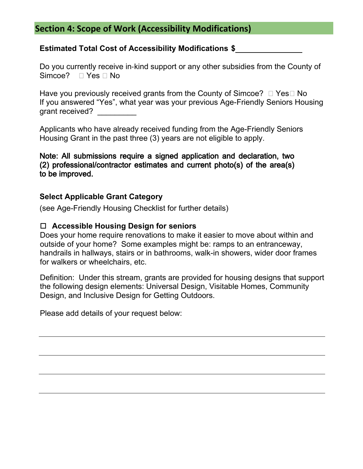### **Section 4: Scope of Work (Accessibility Modifications)**

#### **Estimated Total Cost of Accessibility Modifications \$**

Do you currently receive in-kind support or any other subsidies from the County of Simcoe?  $\Box$  Yes  $\Box$  No

Have you previously received grants from the County of Simcoe?  $\Box$  Yes  $\Box$  No If you answered "Yes", what year was your previous Age-Friendly Seniors Housing grant received? \_\_\_\_\_\_\_\_\_

Applicants who have already received funding from the Age-Friendly Seniors Housing Grant in the past three (3) years are not eligible to apply.

Note: All submissions require a signed application and declaration, two (2) professional/contractor estimates and current photo(s) of the area(s) to be improved.

#### **Select Applicable Grant Category**

(see Age-Friendly Housing Checklist for further details)

#### **Accessible Housing Design for seniors**

Does your home require renovations to make it easier to move about within and outside of your home? Some examples might be: ramps to an entranceway, handrails in hallways, stairs or in bathrooms, walk-in showers, wider door frames for walkers or wheelchairs, etc.

Definition: Under this stream, grants are provided for housing designs that support the following design elements: Universal Design, Visitable Homes, Community Design, and Inclusive Design for Getting Outdoors.

Please add details of your request below: